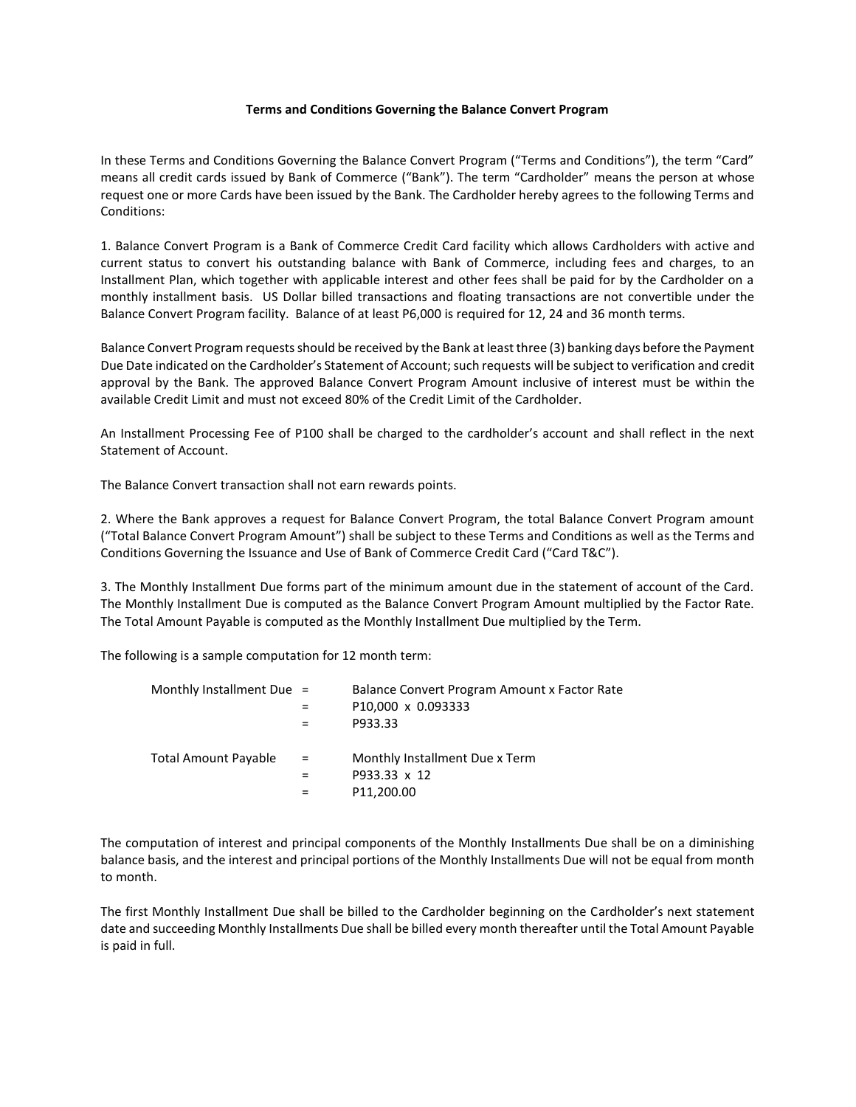## **Terms and Conditions Governing the Balance Convert Program**

In these Terms and Conditions Governing the Balance Convert Program ("Terms and Conditions"), the term "Card" means all credit cards issued by Bank of Commerce ("Bank"). The term "Cardholder" means the person at whose request one or more Cards have been issued by the Bank. The Cardholder hereby agrees to the following Terms and Conditions:

1. Balance Convert Program is a Bank of Commerce Credit Card facility which allows Cardholders with active and current status to convert his outstanding balance with Bank of Commerce, including fees and charges, to an Installment Plan, which together with applicable interest and other fees shall be paid for by the Cardholder on a monthly installment basis. US Dollar billed transactions and floating transactions are not convertible under the Balance Convert Program facility. Balance of at least P6,000 is required for 12, 24 and 36 month terms.

Balance Convert Program requests should be received by the Bank at least three (3) banking days before the Payment Due Date indicated on the Cardholder's Statement of Account; such requests will be subject to verification and credit approval by the Bank. The approved Balance Convert Program Amount inclusive of interest must be within the available Credit Limit and must not exceed 80% of the Credit Limit of the Cardholder.

An Installment Processing Fee of P100 shall be charged to the cardholder's account and shall reflect in the next Statement of Account.

The Balance Convert transaction shall not earn rewards points.

2. Where the Bank approves a request for Balance Convert Program, the total Balance Convert Program amount ("Total Balance Convert Program Amount") shall be subject to these Terms and Conditions as well as the Terms and Conditions Governing the Issuance and Use of Bank of Commerce Credit Card ("Card T&C").

3. The Monthly Installment Due forms part of the minimum amount due in the statement of account of the Card. The Monthly Installment Due is computed as the Balance Convert Program Amount multiplied by the Factor Rate. The Total Amount Payable is computed as the Monthly Installment Due multiplied by the Term.

The following is a sample computation for 12 month term:

| Monthly Installment Due $=$ | Balance Convert Program Amount x Factor Rate |
|-----------------------------|----------------------------------------------|
|                             | P10,000 x 0.093333                           |
|                             | P933.33                                      |
| $\alpha = 0.01$             | Monthly Installment Due x Term               |
|                             | P933.33 x 12                                 |
|                             | P11,200.00                                   |
|                             |                                              |

The computation of interest and principal components of the Monthly Installments Due shall be on a diminishing balance basis, and the interest and principal portions of the Monthly Installments Due will not be equal from month to month.

The first Monthly Installment Due shall be billed to the Cardholder beginning on the Cardholder's next statement date and succeeding Monthly Installments Due shall be billed every month thereafter until the Total Amount Payable is paid in full.